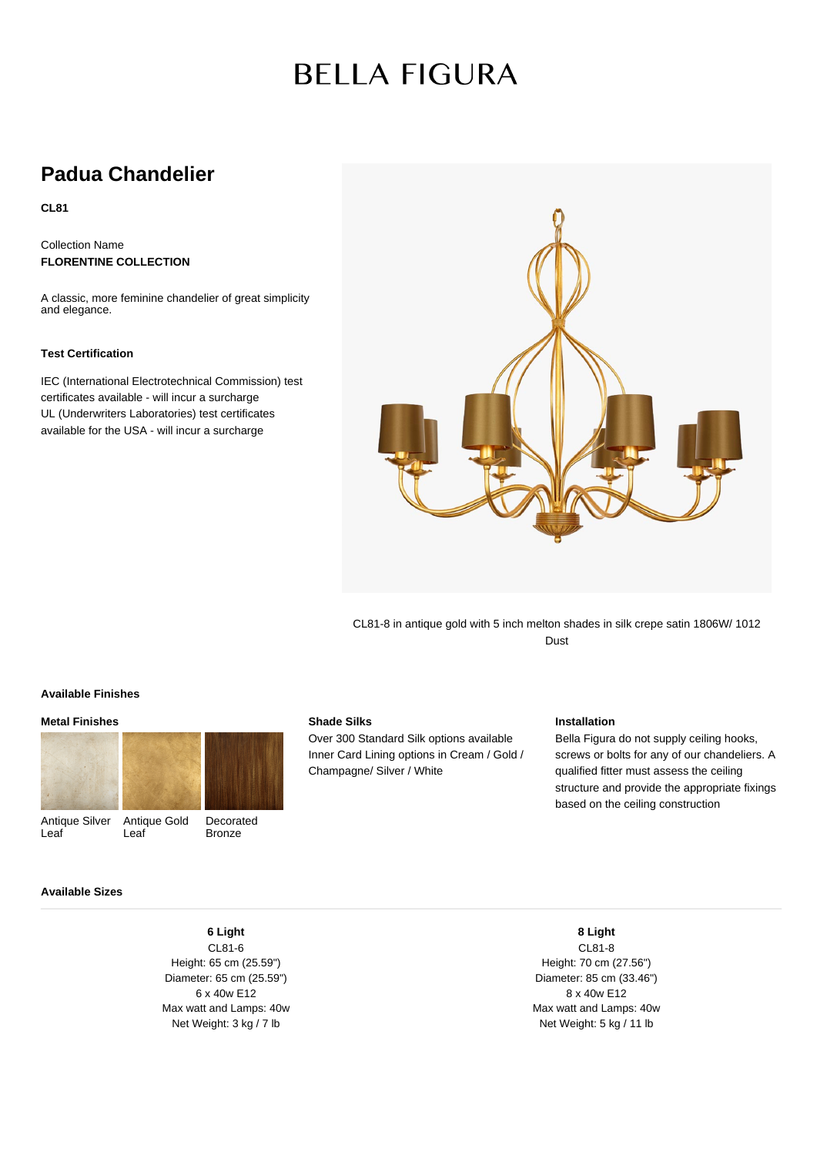# **BELLA FIGURA**

# **Padua Chandelier**

**CL81**

Collection Name **FLORENTINE COLLECTION**

A classic, more feminine chandelier of great simplicity and elegance.

## **Test Certification**

IEC (International Electrotechnical Commission) test certificates available - will incur a surcharge UL (Underwriters Laboratories) test certificates available for the USA - will incur a surcharge



CL81-8 in antique gold with 5 inch melton shades in silk crepe satin 1806W/ 1012 Dust

#### **Available Finishes**

#### **Metal Finishes**



**Shade Silks**

Over 300 Standard Silk options available Inner Card Lining options in Cream / Gold / Champagne/ Silver / White

## **Installation**

Bella Figura do not supply ceiling hooks, screws or bolts for any of our chandeliers. A qualified fitter must assess the ceiling structure and provide the appropriate fixings based on the ceiling construction

### **Available Sizes**

**6 Light** CL81-6 Height: 65 cm (25.59") Diameter: 65 cm (25.59") 6 x 40w E12 Max watt and Lamps: 40w Net Weight: 3 kg / 7 lb

CL81-8 Height: 70 cm (27.56") Diameter: 85 cm (33.46") 8 x 40w E12 Max watt and Lamps: 40w Net Weight: 5 kg / 11 lb

**8 Light**